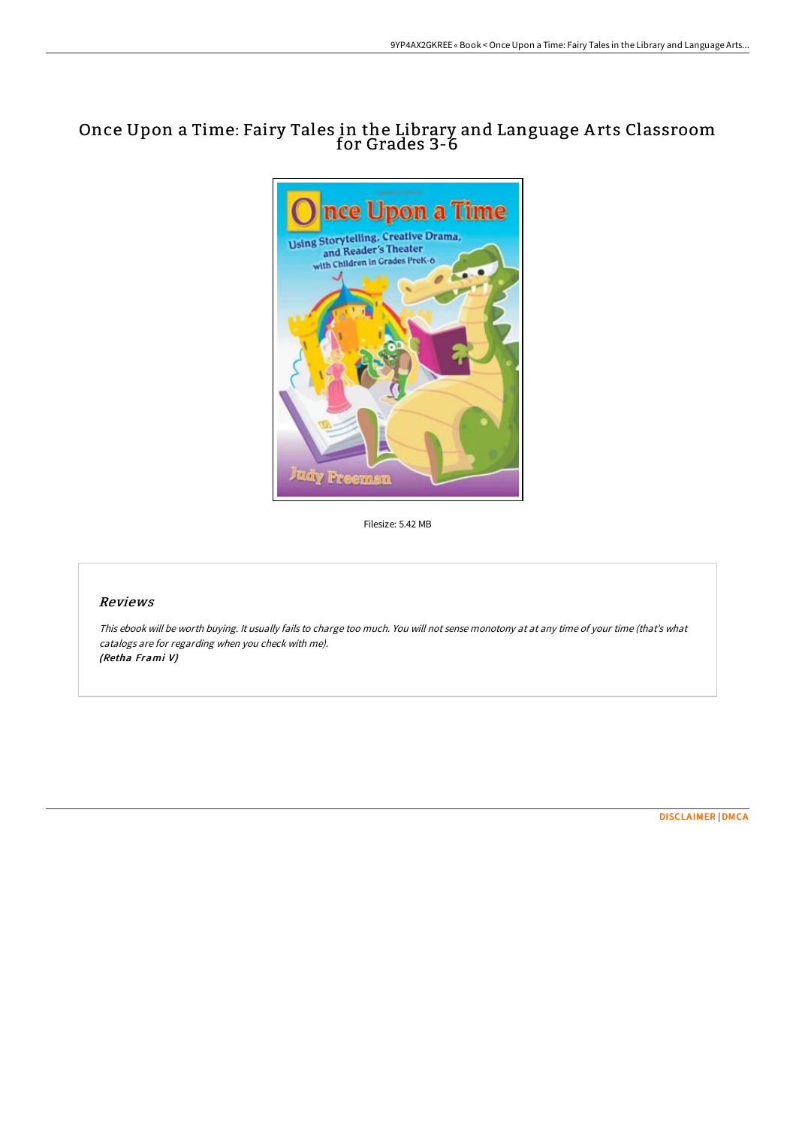# Once Upon a Time: Fairy Tales in the Library and Language A rts Classroom for Grades 3-6



Filesize: 5.42 MB

## Reviews

This ebook will be worth buying. It usually fails to charge too much. You will not sense monotony at at any time of your time (that's what catalogs are for regarding when you check with me). (Retha Frami V)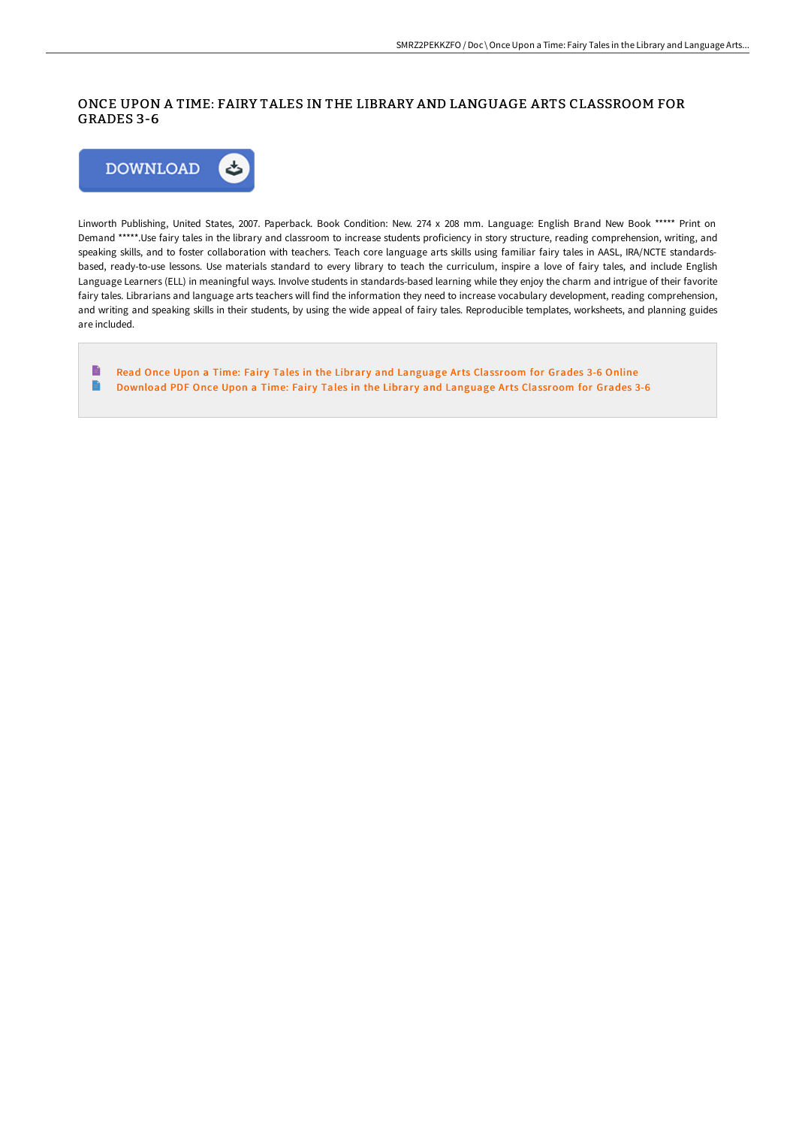# ONCE UPON A TIME: FAIRY TALES IN THE LIBRARY AND LANGUAGE ARTS CLASSROOM FOR GRADES 3-6



Linworth Publishing, United States, 2007. Paperback. Book Condition: New. 274 x 208 mm. Language: English Brand New Book \*\*\*\*\* Print on Demand \*\*\*\*\*.Use fairy tales in the library and classroom to increase students proficiency in story structure, reading comprehension, writing, and speaking skills, and to foster collaboration with teachers. Teach core language arts skills using familiar fairy tales in AASL, IRA/NCTE standardsbased, ready-to-use lessons. Use materials standard to every library to teach the curriculum, inspire a love of fairy tales, and include English Language Learners (ELL) in meaningful ways. Involve students in standards-based learning while they enjoy the charm and intrigue of their favorite fairy tales. Librarians and language arts teachers will find the information they need to increase vocabulary development, reading comprehension, and writing and speaking skills in their students, by using the wide appeal of fairy tales. Reproducible templates, worksheets, and planning guides are included.

 $\blacksquare$ Read Once Upon a Time: Fairy Tales in the Library and Language Arts [Classroom](http://techno-pub.tech/once-upon-a-time-fairy-tales-in-the-library-and-.html) for Grades 3-6 Online  $\blacksquare$ Download PDF Once Upon a Time: Fairy Tales in the Library and Language Arts [Classroom](http://techno-pub.tech/once-upon-a-time-fairy-tales-in-the-library-and-.html) for Grades 3-6